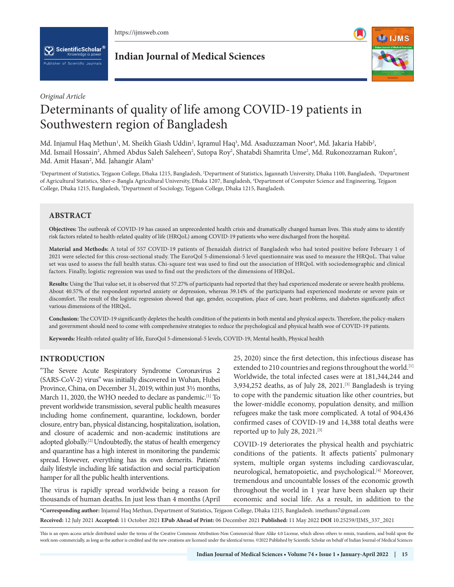

 $[\mathbf{\nabla}]$  ScientificScholar  $^6$ blisher of Scientific Journals

**Indian Journal of Medical Sciences**



## *Original Article*

# Determinants of quality of life among COVID-19 patients in Southwestern region of Bangladesh

Md. Injamul Haq Methun<sup>ı</sup>, M. Sheikh Giash Uddin<sup>2</sup>, Iqramul Haq<sup>3</sup>, Md. Asaduzzaman Noor<sup>4</sup>, Md. Jakaria Habib<sup>2</sup>, Md. Ismail Hossain<sup>2</sup>, Ahmed Abdus Saleh Saleheen<sup>2</sup>, Sutopa Roy<sup>2</sup>, Shatabdi Shamrita Ume<sup>2</sup>, Md. Rukonozzaman Rukon<sup>2</sup>, Md. Amit Hasan<sup>2</sup>, Md. Jahangir Alam<sup>5</sup>

<sup>1</sup>Department of Statistics, Tejgaon College, Dhaka 1215, Bangladesh, <sup>2</sup>Department of Statistics, Jagannath University, Dhaka 1100, Bangladesh, <sup>3</sup>Department of Agricultural Statistics, Sher-e-Bangla Agricultural University, Dhaka 1207, Bangladesh, 4 Department of Computer Science and Engineering, Tejgaon College, Dhaka 1215, Bangladesh, 5 Department of Sociology, Tejgaon College, Dhaka 1215, Bangladesh.

# **ABSTRACT**

**Objectives:** The outbreak of COVID-19 has caused an unprecedented health crisis and dramatically changed human lives. This study aims to identify risk factors related to health-related quality of life (HRQoL) among COVID-19 patients who were discharged from the hospital.

**Material and Methods:** A total of 557 COVID-19 patients of Jhenaidah district of Bangladesh who had tested positive before February 1 of 2021 were selected for this cross-sectional study. The EuroQol 5-dimensional-5 level questionnaire was used to measure the HRQoL. Thai value set was used to assess the full health status. Chi-square test was used to find out the association of HRQoL with sociodemographic and clinical factors. Finally, logistic regression was used to find out the predictors of the dimensions of HRQoL.

**Results:** Using the Thai value set, it is observed that 57.27% of participants had reported that they had experienced moderate or severe health problems. About 40.57% of the respondent reported anxiety or depression, whereas 39.14% of the participants had experienced moderate or severe pain or discomfort. The result of the logistic regression showed that age, gender, occupation, place of care, heart problems, and diabetes significantly affect various dimensions of the HRQoL.

**Conclusion:** The COVID-19 significantly depletes the health condition of the patients in both mental and physical aspects. Therefore, the policy-makers and government should need to come with comprehensive strategies to reduce the psychological and physical health woe of COVID-19 patients.

**Keywords:** Health-related quality of life, EuroQol 5-dimensional-5 levels, COVID-19, Mental health, Physical health

# **INTRODUCTION**

"The Severe Acute Respiratory Syndrome Coronavirus 2 (SARS-CoV-2) virus" was initially discovered in Wuhan, Hubei Province, China, on December 31, 2019; within just 3½ months, March 11, 2020, the WHO needed to declare as pandemic.<sup>[1]</sup> To prevent worldwide transmission, several public health measures including home confinement, quarantine, lockdown, border closure, entry ban, physical distancing, hospitalization, isolation, and closure of academic and non-academic institutions are adopted globally.[2] Undoubtedly, the status of health emergency and quarantine has a high interest in monitoring the pandemic spread. However, everything has its own demerits. Patients' daily lifestyle including life satisfaction and social participation hamper for all the public health interventions.

The virus is rapidly spread worldwide being a reason for thousands of human deaths.In just less than 4 months (April 25, 2020) since the first detection, this infectious disease has extended to 210 countries and regions throughout the world.<sup>[1]</sup> Worldwide, the total infected cases were at 181,344,244 and 3,934,252 deaths, as of July 28, 2021.[3] Bangladesh is trying to cope with the pandemic situation like other countries, but the lower-middle economy, population density, and million refugees make the task more complicated. A total of 904,436 confirmed cases of COVID-19 and 14,388 total deaths were reported up to July 28, 2021.[3]

COVID-19 deteriorates the physical health and psychiatric conditions of the patients. It affects patients' pulmonary system, multiple organ systems including cardiovascular, neurological, hematopoietic, and psychological.[4] Moreover, tremendous and uncountable losses of the economic growth throughout the world in 1 year have been shaken up their economic and social life. As a result, in addition to the

**\*Corresponding author:** Injamul Haq Methun, Department of Statistics, Tejgaon College, Dhaka 1215, Bangladesh. imethuns7@gmail.com **Received:** 12 July 2021 **Accepted:** 11 October 2021 **EPub Ahead of Print:** 06 December 2021 **Published:** 11 May 2022 **DOI** 10.25259/IJMS\_337\_2021

This is an open-access article distributed under the terms of the Creative Commons Attribution-Non Commercial-Share Alike 4.0 License, which allows others to remix, transform, and build upon the work non-commercially, as long as the author is credited and the new creations are licensed under the identical terms. ©2022 Published by Scientific Scholar on behalf of Indian Journal of Medical Sciences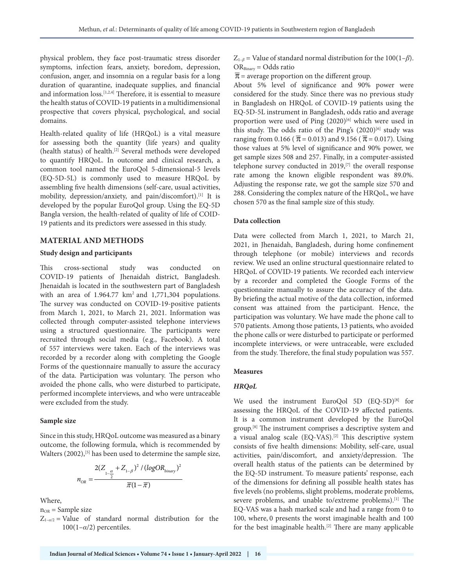physical problem, they face post-traumatic stress disorder symptoms, infection fears, anxiety, boredom, depression, confusion, anger, and insomnia on a regular basis for a long duration of quarantine, inadequate supplies, and financial and information loss.[1,2,4] Therefore, it is essential to measure the health status of COVID-19 patients in a multidimensional prospective that covers physical, psychological, and social domains.

Health-related quality of life (HRQoL) is a vital measure for assessing both the quantity (life years) and quality (health status) of health.[2] Several methods were developed to quantify HRQoL. In outcome and clinical research, a common tool named the EuroQol 5-dimensional-5 levels (EQ-5D-5L) is commonly used to measure HRQoL by assembling five health dimensions (self-care, usual activities, mobility, depression/anxiety, and pain/discomfort).<sup>[1]</sup> It is developed by the popular EuroQol group. Using the EQ-5D Bangla version, the health-related of quality of life of COID-19 patients and its predictors were assessed in this study.

## **MATERIAL AND METHODS**

#### **Study design and participants**

This cross-sectional study was conducted on COVID-19 patients of Jhenaidah district, Bangladesh. Jhenaidah is located in the southwestern part of Bangladesh with an area of  $1.964.77 \text{ km}^2$  and  $1,771,304$  populations. The survey was conducted on COVID-19-positive patients from March 1, 2021, to March 21, 2021. Information was collected through computer-assisted telephone interviews using a structured questionnaire. The participants were recruited through social media (e.g., Facebook). A total of 557 interviews were taken. Each of the interviews was recorded by a recorder along with completing the Google Forms of the questionnaire manually to assure the accuracy of the data. Participation was voluntary. The person who avoided the phone calls, who were disturbed to participate, performed incomplete interviews, and who were untraceable were excluded from the study.

#### **Sample size**

Since in this study, HRQoL outcome was measured as a binary outcome, the following formula, which is recommended by Walters (2002),<sup>[5]</sup> has been used to determine the sample size,

$$
n_{OR} = \frac{2(Z_{1-\frac{\alpha}{2}} + Z_{1-\beta})^2 / (logOR_{binary})^2}{\overline{\pi}(1-\overline{\pi})}
$$

Where,

 $n_{OR}$  = Sample size

 $Z_{1-*a*/2}$  = Value of standard normal distribution for the  $100(1-\alpha/2)$  percentiles.

 $Z_{1-\beta}$  = Value of standard normal distribution for the 100(1–*β*). ORBinary = Odds ratio

 $\overline{\pi}$  = average proportion on the different group.

About 5% level of significance and 90% power were considered for the study. Since there was no previous study in Bangladesh on HRQoL of COVID-19 patients using the EQ-5D-5L instrument in Bangladesh, odds ratio and average proportion were used of Ping  $(2020)^{[6]}$  which were used in this study. The odds ratio of the Ping's  $(2020)^{[6]}$  study was ranging from 0.166 ( $\bar{\pi}$  = 0.013) and 9.156 ( $\bar{\pi}$  = 0.017). Using those values at 5% level of significance and 90% power, we get sample sizes 508 and 257. Finally, in a computer-assisted telephone survey conducted in 2019,<sup>[7]</sup> the overall response rate among the known eligible respondent was 89.0%. Adjusting the response rate, we got the sample size 570 and 288. Considering the complex nature of the HRQoL, we have chosen 570 as the final sample size of this study.

#### **Data collection**

Data were collected from March 1, 2021, to March 21, 2021, in Jhenaidah, Bangladesh, during home confinement through telephone (or mobile) interviews and records review. We used an online structural questionnaire related to HRQoL of COVID-19 patients. We recorded each interview by a recorder and completed the Google Forms of the questionnaire manually to assure the accuracy of the data. By briefing the actual motive of the data collection, informed consent was attained from the participant. Hence, the participation was voluntary. We have made the phone call to 570 patients. Among those patients, 13 patients, who avoided the phone calls or were disturbed to participate or performed incomplete interviews, or were untraceable, were excluded from the study. Therefore, the final study population was 557.

#### **Measures**

## *HRQoL*

We used the instrument EuroQol 5D (EQ-5D)<sup>[8]</sup> for assessing the HRQoL of the COVID-19 affected patients. It is a common instrument developed by the EuroQol group.[8] The instrument comprises a descriptive system and a visual analog scale (EQ-VAS).[2] This descriptive system consists of five health dimensions: Mobility, self-care, usual activities, pain/discomfort, and anxiety/depression. The overall health status of the patients can be determined by the EQ-5D instrument. To measure patients' response, each of the dimensions for defining all possible health states has five levels (no problems, slight problems, moderate problems, severe problems, and unable to/extreme problems).[1] The EQ-VAS was a hash marked scale and had a range from 0 to 100, where, 0 presents the worst imaginable health and 100 for the best imaginable health.[2] There are many applicable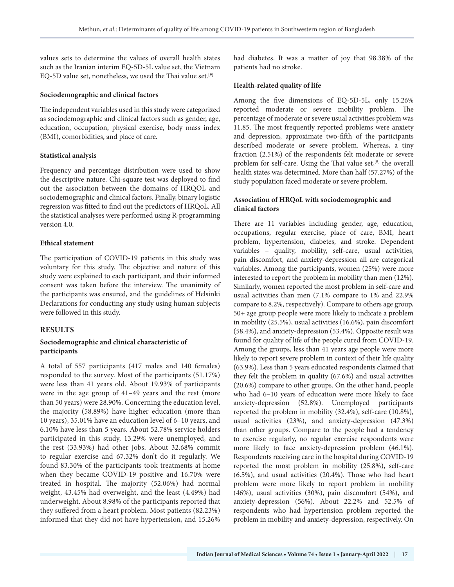values sets to determine the values of overall health states such as the Iranian interim EQ-5D-5L value set, the Vietnam EQ-5D value set, nonetheless, we used the Thai value set.[9]

#### **Sociodemographic and clinical factors**

The independent variables used in this study were categorized as sociodemographic and clinical factors such as gender, age, education, occupation, physical exercise, body mass index (BMI), comorbidities, and place of care.

### **Statistical analysis**

Frequency and percentage distribution were used to show the descriptive nature. Chi-square test was deployed to find out the association between the domains of HRQOL and sociodemographic and clinical factors. Finally, binary logistic regression was fitted to find out the predictors of HRQoL. All the statistical analyses were performed using R-programming version 4.0.

### **Ethical statement**

The participation of COVID-19 patients in this study was voluntary for this study. The objective and nature of this study were explained to each participant, and their informed consent was taken before the interview. The unanimity of the participants was ensured, and the guidelines of Helsinki Declarations for conducting any study using human subjects were followed in this study.

## **RESULTS**

## **Sociodemographic and clinical characteristic of participants**

A total of 557 participants (417 males and 140 females) responded to the survey. Most of the participants (51.17%) were less than 41 years old. About 19.93% of participants were in the age group of 41–49 years and the rest (more than 50 years) were 28.90%. Concerning the education level, the majority (58.89%) have higher education (more than 10 years), 35.01% have an education level of 6–10 years, and 6.10% have less than 5 years. About 52.78% service holders participated in this study, 13.29% were unemployed, and the rest (33.93%) had other jobs. About 32.68% commit to regular exercise and 67.32% don't do it regularly. We found 83.30% of the participants took treatments at home when they became COVID-19 positive and 16.70% were treated in hospital. The majority (52.06%) had normal weight, 43.45% had overweight, and the least (4.49%) had underweight. About 8.98% of the participants reported that they suffered from a heart problem. Most patients (82.23%) informed that they did not have hypertension, and 15.26% had diabetes. It was a matter of joy that 98.38% of the patients had no stroke.

#### **Health-related quality of life**

Among the five dimensions of EQ-5D-5L, only 15.26% reported moderate or severe mobility problem. The percentage of moderate or severe usual activities problem was 11.85. The most frequently reported problems were anxiety and depression, approximate two-fifth of the participants described moderate or severe problem. Whereas, a tiny fraction (2.51%) of the respondents felt moderate or severe problem for self-care. Using the Thai value set,<sup>[9]</sup> the overall health states was determined. More than half (57.27%) of the study population faced moderate or severe problem.

## **Association of HRQoL with sociodemographic and clinical factors**

There are 11 variables including gender, age, education, occupations, regular exercise, place of care, BMI, heart problem, hypertension, diabetes, and stroke. Dependent variables – quality, mobility, self-care, usual activities, pain discomfort, and anxiety-depression all are categorical variables. Among the participants, women (25%) were more interested to report the problem in mobility than men (12%). Similarly, women reported the most problem in self-care and usual activities than men (7.1% compare to 1% and 22.9% compare to 8.2%, respectively). Compare to others age group, 50+ age group people were more likely to indicate a problem in mobility (25.5%), usual activities (16.6%), pain discomfort (58.4%), and anxiety-depression (53.4%). Opposite result was found for quality of life of the people cured from COVID-19. Among the groups, less than 41 years age people were more likely to report severe problem in context of their life quality (63.9%). Less than 5 years educated respondents claimed that they felt the problem in quality (67.6%) and usual activities (20.6%) compare to other groups. On the other hand, people who had 6-10 years of education were more likely to face anxiety-depression (52.8%). Unemployed participants reported the problem in mobility (32.4%), self-care (10.8%), usual activities (23%), and anxiety-depression (47.3%) than other groups. Compare to the people had a tendency to exercise regularly, no regular exercise respondents were more likely to face anxiety-depression problem (46.1%). Respondents receiving care in the hospital during COVID-19 reported the most problem in mobility (25.8%), self-care (6.5%), and usual activities (20.4%). Those who had heart problem were more likely to report problem in mobility (46%), usual activities (30%), pain discomfort (54%), and anxiety-depression (56%). About 22.2% and 52.5% of respondents who had hypertension problem reported the problem in mobility and anxiety-depression, respectively. On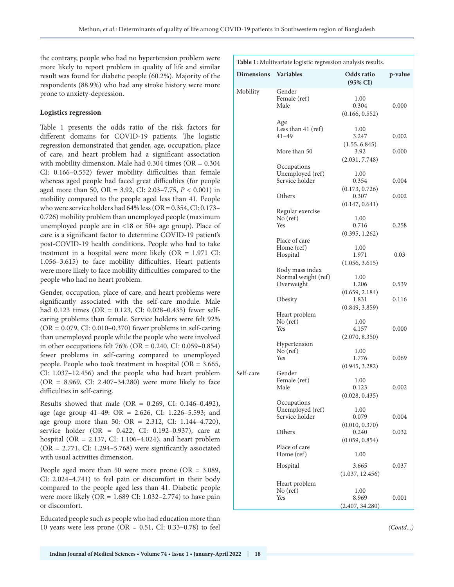the contrary, people who had no hypertension problem were more likely to report problem in quality of life and similar result was found for diabetic people (60.2%). Majority of the respondents (88.9%) who had any stroke history were more prone to anxiety-depression.

## **Logistics regression**

Table 1 presents the odds ratio of the risk factors for different domains for COVID-19 patients. The logistic regression demonstrated that gender, age, occupation, place of care, and heart problem had a significant association with mobility dimension. Male had 0.304 times (OR = 0.304 CI: 0.166–0.552) fewer mobility difficulties than female whereas aged people had faced great difficulties (for people aged more than 50, OR = 3.92, CI: 2.03–7.75, *P* < 0.001) in mobility compared to the people aged less than 41. People who were service holders had 64% less (OR = 0.354, CI: 0.173– 0.726) mobility problem than unemployed people (maximum unemployed people are in <18 or 50+ age group). Place of care is a significant factor to determine COVID-19 patient's post-COVID-19 health conditions. People who had to take treatment in a hospital were more likely (OR = 1.971 CI: 1.056–3.615) to face mobility difficulties. Heart patients were more likely to face mobility difficulties compared to the people who had no heart problem.

Gender, occupation, place of care, and heart problems were significantly associated with the self-care module. Male had 0.123 times (OR = 0.123, CI: 0.028–0.435) fewer selfcaring problems than female. Service holders were felt 92%  $(OR = 0.079, CI: 0.010-0.370)$  fewer problems in self-caring than unemployed people while the people who were involved in other occupations felt 76% (OR = 0.240, CI: 0.059–0.854) fewer problems in self-caring compared to unemployed people. People who took treatment in hospital (OR = 3.665, CI: 1.037–12.456) and the people who had heart problem (OR = 8.969, CI: 2.407–34.280) were more likely to face difficulties in self-caring.

Results showed that male (OR =  $0.269$ , CI:  $0.146 - 0.492$ ), age (age group 41–49: OR = 2.626, CI: 1.226–5.593; and age group more than 50: OR =  $2.312$ , CI: 1.144-4.720), service holder (OR = 0.422, CI: 0.192–0.937), care at hospital (OR = 2.137, CI: 1.106–4.024), and heart problem  $(OR = 2.771, CI: 1.294-5.768)$  were significantly associated with usual activities dimension.

People aged more than 50 were more prone (OR = 3.089, CI: 2.024–4.741) to feel pain or discomfort in their body compared to the people aged less than 41. Diabetic people were more likely (OR = 1.689 CI: 1.032–2.774) to have pain or discomfort.

Educated people such as people who had education more than 10 years were less prone (OR =  $0.51$ , CI:  $0.33-0.78$ ) to feel

| Table 1: Multivariate logistic regression analysis results. |                                                      |                                           |         |  |  |
|-------------------------------------------------------------|------------------------------------------------------|-------------------------------------------|---------|--|--|
| <b>Dimensions</b>                                           | <b>Variables</b>                                     | Odds ratio<br>$(95\% \text{ CI})$         | p-value |  |  |
| Mobility                                                    | Gender<br>Female (ref)<br>Male                       | 1.00<br>0.304<br>(0.166, 0.552)           | 0.000   |  |  |
|                                                             | Age<br>Less than $41$ (ref)<br>$41 - 49$             | 1.00<br>3.247<br>(1.55, 6.845)            | 0.002   |  |  |
|                                                             | More than 50                                         | 3.92<br>(2.031, 7.748)                    | 0.000   |  |  |
|                                                             | Occupations<br>Unemployed (ref)<br>Service holder    | 1.00<br>0.354                             | 0.004   |  |  |
|                                                             | Others                                               | (0.173, 0.726)<br>0.307<br>(0.147, 0.641) | 0.002   |  |  |
|                                                             | Regular exercise<br>$No$ (ref)<br>Yes                | 1.00<br>0.716<br>(0.395, 1.262)           | 0.258   |  |  |
|                                                             | Place of care<br>Home (ref)<br>Hospital              | 1.00<br>1.971<br>(1.056, 3.615)           | 0.03    |  |  |
|                                                             | Body mass index<br>Normal weight (ref)<br>Overweight | 1.00<br>1.206<br>(0.659, 2.184)           | 0.539   |  |  |
|                                                             | Obesity                                              | 1.831<br>(0.849, 3.859)                   | 0.116   |  |  |
|                                                             | Heart problem<br>No (ref)<br>Yes                     | 1.00<br>4.157<br>(2.070, 8.350)           | 0.000   |  |  |
|                                                             | Hypertension<br>$No$ (ref)<br>Yes                    | 1.00<br>1.776<br>(0.945, 3.282)           | 0.069   |  |  |
| Self-care                                                   | Gender<br>Female (ref)<br>Male                       | 1.00<br>0.123<br>(0.028, 0.435)           | 0.002   |  |  |
|                                                             | Occupations<br>Unemployed (ref)<br>Service holder    | 1.00<br>0.079                             | 0.004   |  |  |
|                                                             | Others                                               | (0.010, 0.370)<br>0.240<br>(0.059, 0.854) | 0.032   |  |  |
|                                                             | Place of care<br>Home (ref)                          | 1.00                                      |         |  |  |
|                                                             | Hospital                                             | 3.665<br>(1.037, 12.456)                  | 0.037   |  |  |
|                                                             | Heart problem<br>No (ref)<br>Yes                     | 1.00<br>8.969<br>(2.407, 34.280)          | 0.001   |  |  |

*(Contd...)*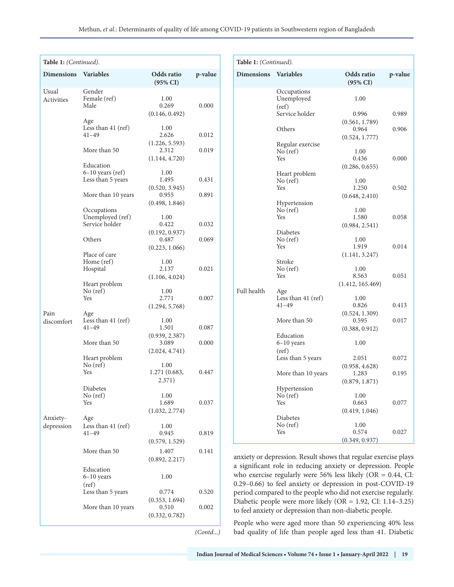| Table 1: (Continued). |                                         |                                   |         |  |  |
|-----------------------|-----------------------------------------|-----------------------------------|---------|--|--|
| <b>Dimensions</b>     | <b>Variables</b>                        | Odds ratio<br>$(95\% \text{ CI})$ | p-value |  |  |
| Usual                 | Gender                                  |                                   |         |  |  |
| <b>Activities</b>     | Female (ref)                            | 1.00                              |         |  |  |
|                       | Male                                    | 0.269                             | 0.000   |  |  |
|                       | Age                                     | (0.146, 0.492)                    |         |  |  |
|                       | Less than 41 (ref)                      | 1.00                              |         |  |  |
|                       | $41 - 49$                               | 2.626                             | 0.012   |  |  |
|                       | More than 50                            | (1.226, 5.593)<br>2.312           | 0.019   |  |  |
|                       |                                         | (1.144, 4.720)                    |         |  |  |
|                       | Education                               |                                   |         |  |  |
|                       | $6-10$ years (ref)<br>Less than 5 years | 1.00<br>1.495                     | 0.431   |  |  |
|                       |                                         | (0.520, 3.945)                    |         |  |  |
|                       | More than 10 years                      | 0.955                             | 0.891   |  |  |
|                       |                                         | (0.498, 1.846)                    |         |  |  |
|                       | Occupations<br>Unemployed (ref)         | 1.00                              |         |  |  |
|                       | Service holder                          | 0.422                             | 0.032   |  |  |
|                       |                                         | (0.192, 0.937)                    |         |  |  |
|                       | Others                                  | 0.487                             | 0.069   |  |  |
|                       | Place of care                           | (0.223, 1.066)                    |         |  |  |
|                       | Home (ref)                              | 1.00                              |         |  |  |
|                       | Hospital                                | 2.137                             | 0.021   |  |  |
|                       | Heart problem                           | (1.106, 4.024)                    |         |  |  |
|                       | No (ref)                                | 1.00                              |         |  |  |
|                       | Yes                                     | 2.771                             | 0.007   |  |  |
| Pain                  | Age                                     | (1.294, 5.768)                    |         |  |  |
| discomfort            | Less than 41 (ref)                      | 1.00                              |         |  |  |
|                       | $41 - 49$                               | 1.501                             | 0.087   |  |  |
|                       | More than 50                            | (0.939, 2.387)<br>3.089           | 0.000   |  |  |
|                       |                                         | (2.024, 4.741)                    |         |  |  |
|                       | Heart problem                           |                                   |         |  |  |
|                       | No (ref)<br>Yes                         | 1.00                              |         |  |  |
|                       |                                         | 1.271 (0.683,<br>2.371)           | 0.447   |  |  |
|                       | Diabetes                                |                                   |         |  |  |
|                       | No (ref)                                | 1.00                              |         |  |  |
|                       | Yes                                     | 1.689<br>(1.032, 2.774)           | 0.037   |  |  |
| Anxiety-              | Age                                     |                                   |         |  |  |
| depression            | Less than $41$ (ref)                    | 1.00                              |         |  |  |
|                       | $41 - 49$                               | 0.945                             | 0.819   |  |  |
|                       |                                         | (0.579, 1.529)                    |         |  |  |
|                       | More than 50                            | 1.407                             | 0.141   |  |  |
|                       |                                         | (0.892, 2.217)                    |         |  |  |
|                       | Education<br>$6-10$ years               | 1.00                              |         |  |  |
|                       | (ref)                                   |                                   |         |  |  |
|                       | Less than 5 years                       | 0.774                             | 0.520   |  |  |
|                       |                                         | (0.353, 1.694)                    |         |  |  |
|                       | More than 10 years                      | 0.510<br>(0.332, 0.782)           | 0.002   |  |  |
|                       |                                         |                                   |         |  |  |
|                       |                                         |                                   | (Contd) |  |  |

| Table 1: (Continued). |                                    |                                           |         |  |  |
|-----------------------|------------------------------------|-------------------------------------------|---------|--|--|
| <b>Dimensions</b>     | <b>Variables</b>                   | Odds ratio<br>$(95\% \text{ CI})$         | p-value |  |  |
| Full health           | Occupations<br>Unemployed<br>(ref) | 1.00                                      |         |  |  |
|                       | Service holder                     | 0.996                                     | 0.989   |  |  |
|                       | Others                             | (0.561, 1.789)<br>0.964<br>(0.524, 1.777) | 0.906   |  |  |
|                       | Regular exercise<br>$No$ (ref)     | 1.00                                      |         |  |  |
|                       | Yes                                | 0.436<br>(0.286, 0.655)                   | 0.000   |  |  |
|                       | Heart problem<br>No (ref)          | 1.00                                      |         |  |  |
|                       | <b>Yes</b>                         | 1.250<br>(0.648, 2.410)                   | 0.502   |  |  |
|                       | Hypertension<br>$No$ (ref)         | 1.00                                      |         |  |  |
|                       | Yes                                | 1.580<br>(0.984, 2.541)                   | 0.058   |  |  |
|                       | Diabetes<br>$No$ (ref)<br>Yes      | 1.00<br>1.919                             | 0.014   |  |  |
|                       | Stroke                             | (1.141, 3.247)                            |         |  |  |
|                       | No (ref)<br>Yes                    | 1.00<br>8.563<br>(1.412, 165.469)         | 0.051   |  |  |
|                       | Age<br>Less than 41 (ref)          | 1.00                                      |         |  |  |
|                       | $41 - 49$                          | 0.826<br>(0.524, 1.309)                   | 0.413   |  |  |
|                       | More than 50                       | 0.595<br>(0.388, 0.912)                   | 0.017   |  |  |
|                       | Education<br>$6-10$ years          | 1.00                                      |         |  |  |
|                       | (ref)<br>Less than 5 years         | 2.051                                     | 0.072   |  |  |
|                       | More than 10 years                 | (0.958, 4.628)<br>1.283                   | 0.195   |  |  |
|                       | Hypertension<br>$No$ (ref)         | (0.879, 1.871)<br>1.00                    |         |  |  |
|                       | Yes                                | 0.663<br>(0.419, 1.046)                   | 0.077   |  |  |
|                       | Diabetes<br>$No$ (ref)             | 1.00                                      |         |  |  |
|                       | Yes                                | 0.574<br>(0.349, 0.937)                   | 0.027   |  |  |

anxiety or depression. Result shows that regular exercise plays a significant role in reducing anxiety or depression. People who exercise regularly were 56% less likely (OR = 0.44, CI: 0.29–0.66) to feel anxiety or depression in post-COVID-19 period compared to the people who did not exercise regularly. Diabetic people were more likely (OR = 1.92, CI: 1.14–3.25) to feel anxiety or depression than non-diabetic people.

People who were aged more than 50 experiencing 40% less bad quality of life than people aged less than 41. Diabetic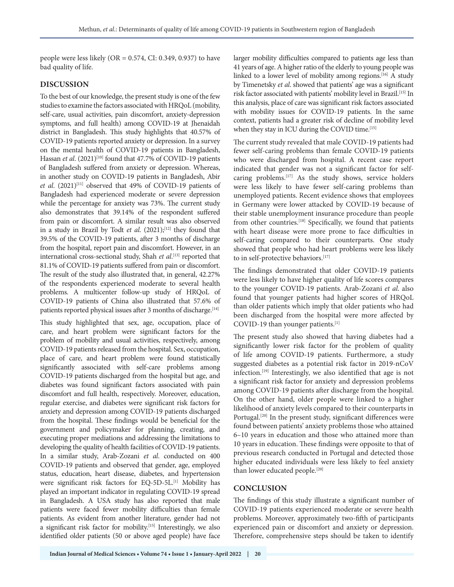people were less likely (OR =  $0.574$ , CI:  $0.349$ ,  $0.937$ ) to have bad quality of life.

## **DISCUSSION**

To the best of our knowledge, the present study is one of the few studies to examine the factors associated with HRQoL (mobility, self-care, usual activities, pain discomfort, anxiety-depression symptoms, and full health) among COVID-19 at Jhenaidah district in Bangladesh. This study highlights that 40.57% of COVID-19 patients reported anxiety or depression. In a survey on the mental health of COVID-19 patients in Bangladesh, Hassan *et al.* (2021)<sup>[10]</sup> found that 47.7% of COVID-19 patients of Bangladesh suffered from anxiety or depression. Whereas, in another study on COVID-19 patients in Bangladesh, Abir *et al.* (2021)<sup>[11]</sup> observed that 49% of COVID-19 patients of Bangladesh had experienced moderate or severe depression while the percentage for anxiety was 73%. The current study also demonstrates that 39.14% of the respondent suffered from pain or discomfort. A similar result was also observed in a study in Brazil by Todt et al. (2021);<sup>[12]</sup> they found that 39.5% of the COVID-19 patients, after 3 months of discharge from the hospital, report pain and discomfort. However, in an international cross-sectional study, Shah *et al*. [13] reported that 81.1% of COVID-19 patients suffered from pain or discomfort. The result of the study also illustrated that, in general, 42.27% of the respondents experienced moderate to several health problems. A multicenter follow-up study of HRQoL of COVID-19 patients of China also illustrated that 57.6% of patients reported physical issues after 3 months of discharge.<sup>[14]</sup>

This study highlighted that sex, age, occupation, place of care, and heart problem were significant factors for the problem of mobility and usual activities, respectively, among COVID-19 patients released from the hospital. Sex, occupation, place of care, and heart problem were found statistically significantly associated with self-care problems among COVID-19 patients discharged from the hospital but age, and diabetes was found significant factors associated with pain discomfort and full health, respectively. Moreover, education, regular exercise, and diabetes were significant risk factors for anxiety and depression among COVID-19 patients discharged from the hospital. These findings would be beneficial for the government and policymaker for planning, creating, and executing proper mediations and addressing the limitations to developing the quality of health facilities of COVID-19 patients. In a similar study, Arab-Zozani *et al*. conducted on 400 COVID-19 patients and observed that gender, age, employed status, education, heart disease, diabetes, and hypertension were significant risk factors for EQ-5D-5L.<sup>[1]</sup> Mobility has played an important indicator in regulating COVID-19 spread in Bangladesh. A USA study has also reported that male patients were faced fewer mobility difficulties than female patients. As evident from another literature, gender had not a significant risk factor for mobility.[15] Interestingly, we also identified older patients (50 or above aged people) have face

larger mobility difficulties compared to patients age less than 41 years of age. A higher ratio of the elderly to young people was linked to a lower level of mobility among regions.<sup>[16]</sup> A study by Timenetsky *et al*. showed that patients' age was a significant risk factor associated with patients' mobility level in Brazil.[15] In this analysis, place of care was significant risk factors associated with mobility issues for COVID-19 patients. In the same context, patients had a greater risk of decline of mobility level when they stay in ICU during the COVID time.<sup>[15]</sup>

The current study revealed that male COVID-19 patients had fewer self-caring problems than female COVID-19 patients who were discharged from hospital. A recent case report indicated that gender was not a significant factor for selfcaring problems.[17] As the study shows, service holders were less likely to have fewer self-caring problems than unemployed patients. Recent evidence shows that employees in Germany were lower attacked by COVID-19 because of their stable unemployment insurance procedure than people from other countries.<sup>[18]</sup> Specifically, we found that patients with heart disease were more prone to face difficulties in self-caring compared to their counterparts. One study showed that people who had heart problems were less likely to in self-protective behaviors.<sup>[17]</sup>

The findings demonstrated that older COVID-19 patients were less likely to have higher quality of life scores compares to the younger COVID-19 patients. Arab-Zozani *et al*. also found that younger patients had higher scores of HRQoL than older patients which imply that older patients who had been discharged from the hospital were more affected by COVID-19 than younger patients.<sup>[1]</sup>

The present study also showed that having diabetes had a significantly lower risk factor for the problem of quality of life among COVID-19 patients. Furthermore, a study suggested diabetes as a potential risk factor in 2019-nCoV infection.[19] Interestingly, we also identified that age is not a significant risk factor for anxiety and depression problems among COVID-19 patients after discharge from the hospital. On the other hand, older people were linked to a higher likelihood of anxiety levels compared to their counterparts in Portugal.<sup>[20]</sup> In the present study, significant differences were found between patients' anxiety problems those who attained 6–10 years in education and those who attained more than 10 years in education. These findings were opposite to that of previous research conducted in Portugal and detected those higher educated individuals were less likely to feel anxiety than lower educated people.<sup>[20]</sup>

# **CONCLUSION**

The findings of this study illustrate a significant number of COVID-19 patients experienced moderate or severe health problems. Moreover, approximately two-fifth of participants experienced pain or discomfort and anxiety or depression. Therefore, comprehensive steps should be taken to identify